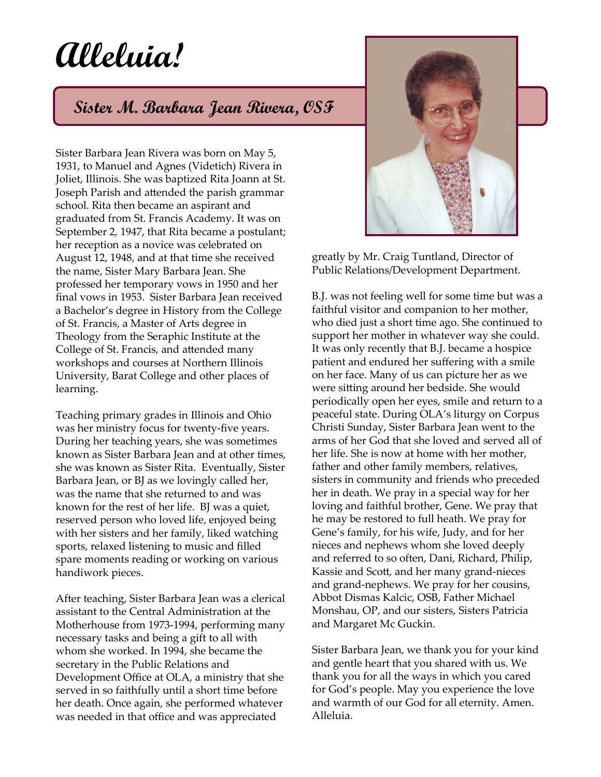## **Alleluia!**

## **Sister M. Barbara Jean Rivera, OSF**

Sister Barbara Jean Rivera was born on May 5, 1931, to Manuel and Agnes (Videtich) Rivera in Joliet, Illinois. She was baptized Rita Joann at St. Joseph Parish and attended the parish grammar school. Rita then became an aspirant and graduated from St. Francis Academy. It was on September 2, 1947, that Rita became a postulant; her reception as a novice was celebrated on August 12, 1948, and at that time she received the name, Sister Mary Barbara Jean. She professed her temporary vows in 1950 and her final vows in 1953. Sister Barbara Jean received a Bachelor's degree in History from the College of St. Francis, a Master of Arts degree in Theology from the Seraphic Institute at the College of St. Francis, and attended many workshops and courses at Northern Illinois University, Barat College and other places of learning.

Teaching primary grades in Illinois and Ohio was her ministry focus for twenty-five years. During her teaching years, she was sometimes known as Sister Barbara Jean and at other times, she was known as Sister Rita. Eventually, Sister Barbara Jean, or BJ as we lovingly called her, was the name that she returned to and was known for the rest of her life. BJ was a quiet, reserved person who loved life, enjoyed being with her sisters and her family, liked watching sports, relaxed listening to music and filled spare moments reading or working on various handiwork pieces.

After teaching, Sister Barbara Jean was a clerical assistant to the Central Administration at the Motherhouse from 1973-1994, performing many necessary tasks and being a gift to all with whom she worked. In 1994, she became the secretary in the Public Relations and Development Office at OLA, a ministry that she served in so faithfully until a short time before her death. Once again, she performed whatever was needed in that office and was appreciated



greatly by Mr. Craig Tuntland, Director of Public Relations/Development Department.

B.J. was not feeling well for some time but was a faithful visitor and companion to her mother, who died just a short time ago. She continued to support her mother in whatever way she could. It was only recently that B.J. became a hospice patient and endured her suffering with a smile on her face. Many of us can picture her as we were sitting around her bedside. She would periodically open her eyes, smile and return to a peaceful state. During OLA's liturgy on Corpus Christi Sunday, Sister Barbara Jean went to the arms of her God that she loved and served all of her life. She is now at home with her mother, father and other family members, relatives, sisters in community and friends who preceded her in death. We pray in a special way for her loving and faithful brother, Gene. We pray that he may be restored to full heath. We pray for Gene's family, for his wife, Judy, and for her nieces and nephews whom she loved deeply and referred to so often, Dani, Richard, Philip, Kassie and Scott, and her many grand-nieces and grand-nephews. We pray for her cousins, Abbot Dismas Kalcic, OSB, Father Michael Monshau, OP, and our sisters, Sisters Patricia and Margaret Mc Guckin.

Sister Barbara Jean, we thank you for your kind and gentle heart that you shared with us. We thank you for all the ways in which you cared for God's people. May you experience the love and warmth of our God for all eternity. Amen. Alleluia.